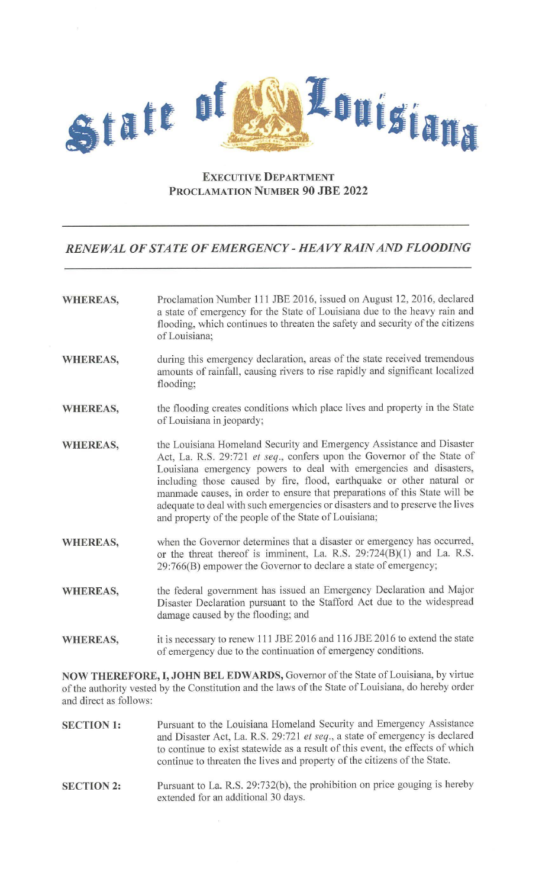

## **EXECUTIVE DEPARTMENT PROCLAMATION NUMBER 90 JBE 2022**

## *RENEWAL OF STATE OF EMERGENCY* **-** *HEAVY RAIN AND FLOODING*

| Proclamation Number 111 JBE 2016, issued on August 12, 2016, declared<br>a state of emergency for the State of Louisiana due to the heavy rain and<br>flooding, which continues to threaten the safety and security of the citizens<br>of Louisiana;                                                                                                                                                                                                                                                                    |
|-------------------------------------------------------------------------------------------------------------------------------------------------------------------------------------------------------------------------------------------------------------------------------------------------------------------------------------------------------------------------------------------------------------------------------------------------------------------------------------------------------------------------|
| during this emergency declaration, areas of the state received tremendous<br>amounts of rainfall, causing rivers to rise rapidly and significant localized<br>flooding;                                                                                                                                                                                                                                                                                                                                                 |
| the flooding creates conditions which place lives and property in the State<br>of Louisiana in jeopardy;                                                                                                                                                                                                                                                                                                                                                                                                                |
| the Louisiana Homeland Security and Emergency Assistance and Disaster<br>Act, La. R.S. 29:721 et seq., confers upon the Governor of the State of<br>Louisiana emergency powers to deal with emergencies and disasters,<br>including those caused by fire, flood, earthquake or other natural or<br>manmade causes, in order to ensure that preparations of this State will be<br>adequate to deal with such emergencies or disasters and to preserve the lives<br>and property of the people of the State of Louisiana; |
| when the Governor determines that a disaster or emergency has occurred,<br>or the threat thereof is imminent, La. R.S. 29:724(B)(1) and La. R.S.<br>29:766(B) empower the Governor to declare a state of emergency;                                                                                                                                                                                                                                                                                                     |
| the federal government has issued an Emergency Declaration and Major<br>Disaster Declaration pursuant to the Stafford Act due to the widespread<br>damage caused by the flooding; and                                                                                                                                                                                                                                                                                                                                   |
| it is necessary to renew 111 JBE 2016 and 116 JBE 2016 to extend the state<br>of emergency due to the continuation of emergency conditions.                                                                                                                                                                                                                                                                                                                                                                             |
|                                                                                                                                                                                                                                                                                                                                                                                                                                                                                                                         |

**NOW THEREFORE, I, JOHN BEL EDWARDS,** Governor of the State of Louisiana, by virtue of the authority vested by the Constitution and the laws of the State of Louisiana, do hereby order and direct as follows:

- **SECTION 1:**  Pursuant to the Louisiana Homeland Security and Emergency Assistance and Disaster Act, La. R.S. 29:721 *et seq.,* a state of emergency is declared to continue to exist statewide as a result of this event, the effects of which continue to threaten the lives and property of the citizens of the State.
- **SECTION 2:**  Pursuant to La. R.S. 29:732(b), the prohibition on price gouging is hereby extended for an additional 30 days.